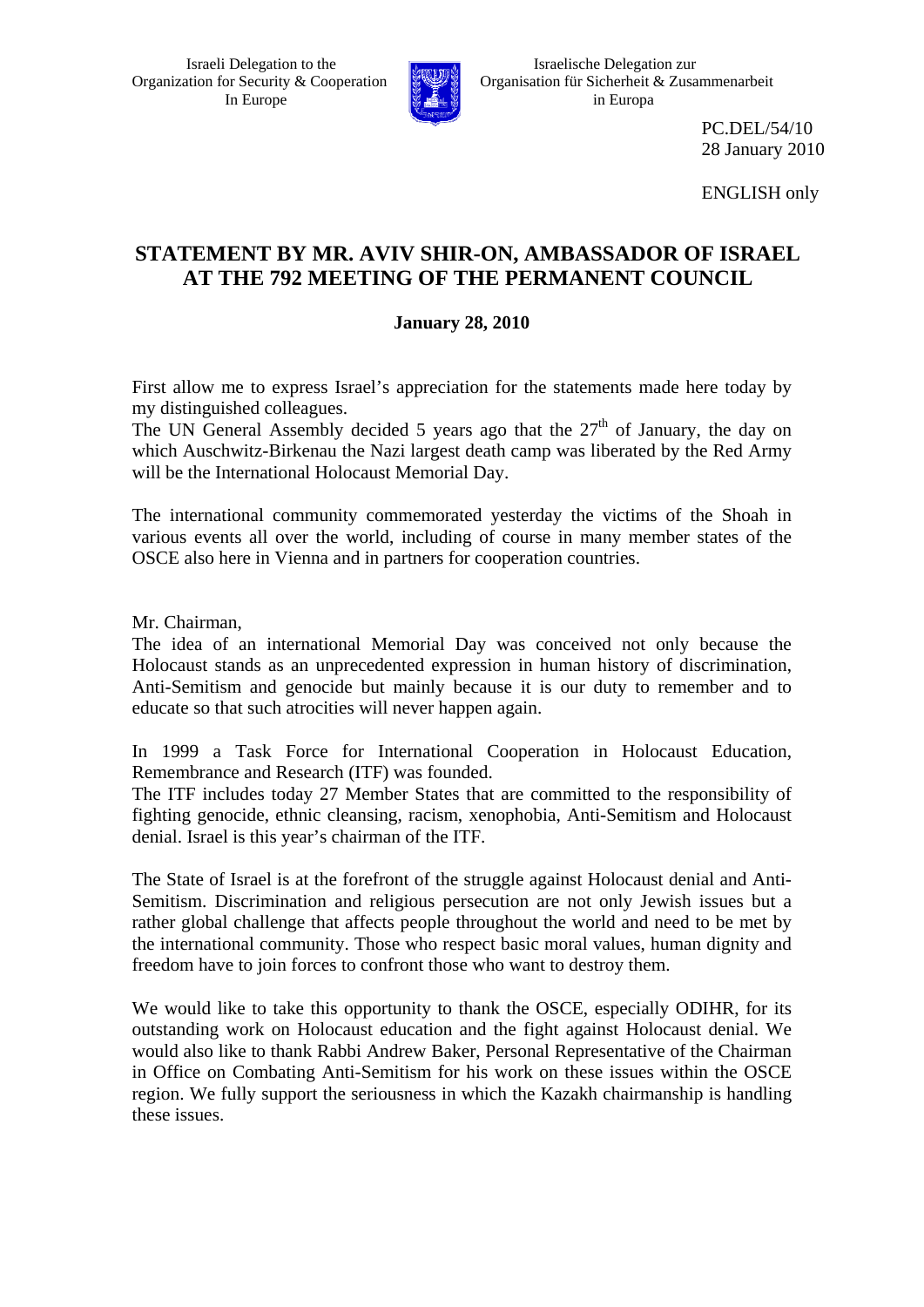

 Israeli Delegation to the Israelische Delegation zur Organization for Security & Cooperation  $\mathbb{R}$  Organisation für Sicherheit & Zusammenarbeit In Europe in Europa

> PC.DEL/54/10 28 January 2010

ENGLISH only

## **STATEMENT BY MR. AVIV SHIR-ON, AMBASSADOR OF ISRAEL AT THE 792 MEETING OF THE PERMANENT COUNCIL**

## **January 28, 2010**

First allow me to express Israel's appreciation for the statements made here today by my distinguished colleagues.

The UN General Assembly decided 5 years ago that the  $27<sup>th</sup>$  of January, the day on which Auschwitz-Birkenau the Nazi largest death camp was liberated by the Red Army will be the International Holocaust Memorial Day.

The international community commemorated yesterday the victims of the Shoah in various events all over the world, including of course in many member states of the OSCE also here in Vienna and in partners for cooperation countries.

Mr. Chairman,

The idea of an international Memorial Day was conceived not only because the Holocaust stands as an unprecedented expression in human history of discrimination, Anti-Semitism and genocide but mainly because it is our duty to remember and to educate so that such atrocities will never happen again.

In 1999 a Task Force for International Cooperation in Holocaust Education, Remembrance and Research (ITF) was founded.

The ITF includes today 27 Member States that are committed to the responsibility of fighting genocide, ethnic cleansing, racism, xenophobia, Anti-Semitism and Holocaust denial. Israel is this year's chairman of the ITF.

The State of Israel is at the forefront of the struggle against Holocaust denial and Anti-Semitism. Discrimination and religious persecution are not only Jewish issues but a rather global challenge that affects people throughout the world and need to be met by the international community. Those who respect basic moral values, human dignity and freedom have to join forces to confront those who want to destroy them.

We would like to take this opportunity to thank the OSCE, especially ODIHR, for its outstanding work on Holocaust education and the fight against Holocaust denial. We would also like to thank Rabbi Andrew Baker, Personal Representative of the Chairman in Office on Combating Anti-Semitism for his work on these issues within the OSCE region. We fully support the seriousness in which the Kazakh chairmanship is handling these issues.